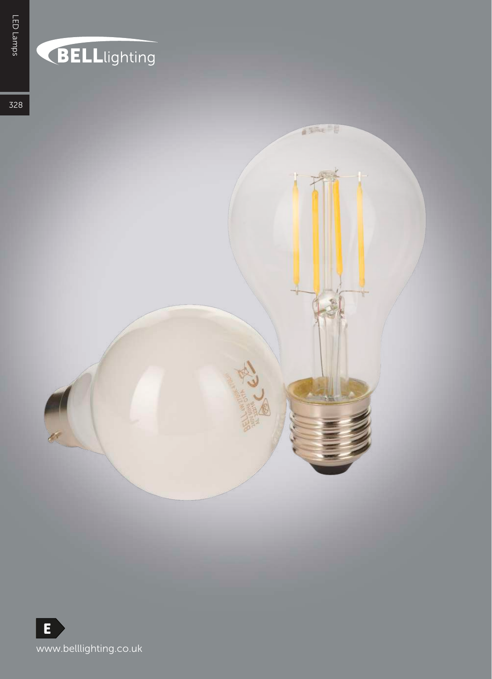# **BELL**lighting

TEX !

328

石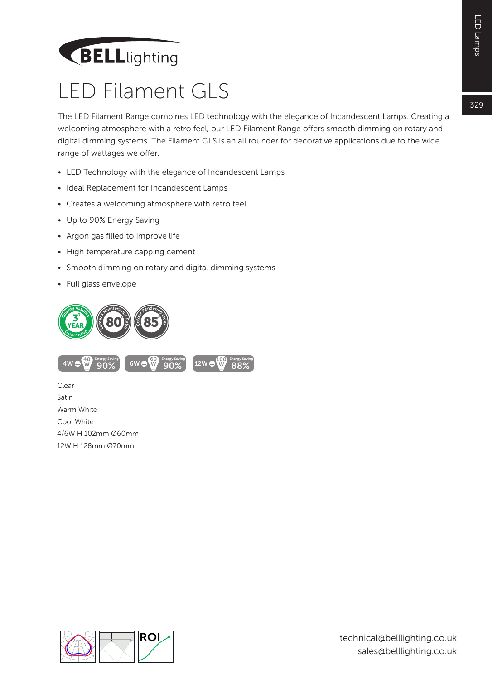## **BELL**lighting

#### LED Filament GLS

The LED Filament Range combines LED technology with the elegance of Incandescent Lamps. Creating a welcoming atmosphere with a retro feel, our LED Filament Range offers smooth dimming on rotary and digital dimming systems. The Filament GLS is an all rounder for decorative applications due to the wide range of wattages we offer.

- LED Technology with the elegance of Incandescent Lamps
- Ideal Replacement for Incandescent Lamps
- Creates a welcoming atmosphere with retro feel
- Up to 90% Energy Saving
- Argon gas filled to improve life
- High temperature capping cement
- Smooth dimming on rotary and digital dimming systems
- Full glass envelope





Clear Satin Warm White Cool White 4/6W H 102mm Ø60mm 12W H 128mm Ø70mm

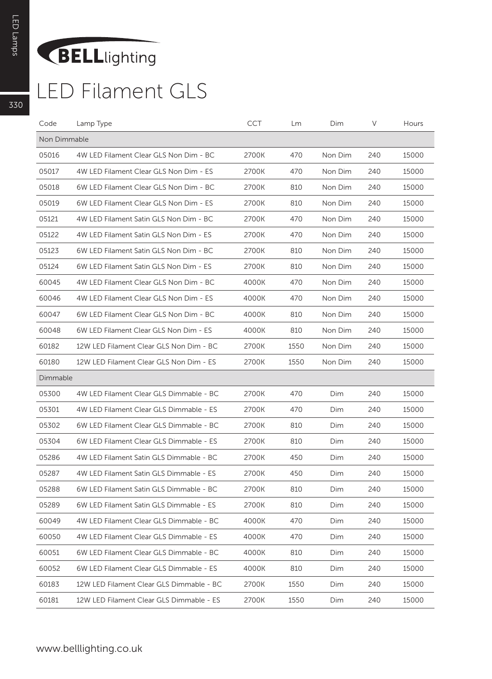### BELLlighting

#### LED Filament GLS

| Code         | Lamp Type                                | <b>CCT</b> | Lm   | Dim     | V   | Hours |
|--------------|------------------------------------------|------------|------|---------|-----|-------|
| Non Dimmable |                                          |            |      |         |     |       |
| 05016        | 4W LED Filament Clear GLS Non Dim - BC   | 2700K      | 470  | Non Dim | 240 | 15000 |
| 05017        | 4W LED Filament Clear GLS Non Dim - ES   | 2700K      | 470  | Non Dim | 240 | 15000 |
| 05018        | 6W LED Filament Clear GLS Non Dim - BC   | 2700K      | 810  | Non Dim | 240 | 15000 |
| 05019        | 6W LED Filament Clear GLS Non Dim - ES   | 2700K      | 810  | Non Dim | 240 | 15000 |
| 05121        | 4W LED Filament Satin GLS Non Dim - BC   | 2700K      | 470  | Non Dim | 240 | 15000 |
| 05122        | 4W LED Filament Satin GLS Non Dim - ES   | 2700K      | 470  | Non Dim | 240 | 15000 |
| 05123        | 6W LED Filament Satin GLS Non Dim - BC   | 2700K      | 810  | Non Dim | 240 | 15000 |
| 05124        | 6W LED Filament Satin GLS Non Dim - ES   | 2700K      | 810  | Non Dim | 240 | 15000 |
| 60045        | 4W LED Filament Clear GLS Non Dim - BC   | 4000K      | 470  | Non Dim | 240 | 15000 |
| 60046        | 4W LED Filament Clear GLS Non Dim - ES   | 4000K      | 470  | Non Dim | 240 | 15000 |
| 60047        | 6W LED Filament Clear GLS Non Dim - BC   | 4000K      | 810  | Non Dim | 240 | 15000 |
| 60048        | 6W LED Filament Clear GLS Non Dim - ES   | 4000K      | 810  | Non Dim | 240 | 15000 |
| 60182        | 12W LED Filament Clear GLS Non Dim - BC  | 2700K      | 1550 | Non Dim | 240 | 15000 |
| 60180        | 12W LED Filament Clear GLS Non Dim - ES  | 2700K      | 1550 | Non Dim | 240 | 15000 |
| Dimmable     |                                          |            |      |         |     |       |
| 05300        | 4W LED Filament Clear GLS Dimmable - BC  | 2700K      | 470  | Dim     | 240 | 15000 |
| 05301        | 4W LED Filament Clear GLS Dimmable - ES  | 2700K      | 470  | Dim     | 240 | 15000 |
| 05302        | 6W LED Filament Clear GLS Dimmable - BC  | 2700K      | 810  | Dim     | 240 | 15000 |
| 05304        | 6W LED Filament Clear GLS Dimmable - ES  | 2700K      | 810  | Dim     | 240 | 15000 |
| 05286        | 4W LED Filament Satin GLS Dimmable - BC  | 2700K      | 450  | Dim     | 240 | 15000 |
| 05287        | 4W LED Filament Satin GLS Dimmable - ES  | 2700K      | 450  | Dim     | 240 | 15000 |
| 05288        | 6W LED Filament Satin GLS Dimmable - BC  | 2700K      | 810  | Dim     | 240 | 15000 |
| 05289        | 6W LED Filament Satin GLS Dimmable - ES  | 2700K      | 810  | Dim     | 240 | 15000 |
| 60049        | 4W LED Filament Clear GLS Dimmable - BC  | 4000K      | 470  | Dim     | 240 | 15000 |
| 60050        | 4W LED Filament Clear GLS Dimmable - ES  | 4000K      | 470  | Dim     | 240 | 15000 |
| 60051        | 6W LED Filament Clear GLS Dimmable - BC  | 4000K      | 810  | Dim     | 240 | 15000 |
| 60052        | 6W LED Filament Clear GLS Dimmable - ES  | 4000K      | 810  | Dim     | 240 | 15000 |
| 60183        | 12W LED Filament Clear GLS Dimmable - BC | 2700K      | 1550 | Dim     | 240 | 15000 |
| 60181        | 12W LED Filament Clear GLS Dimmable - ES | 2700K      | 1550 | Dim     | 240 | 15000 |